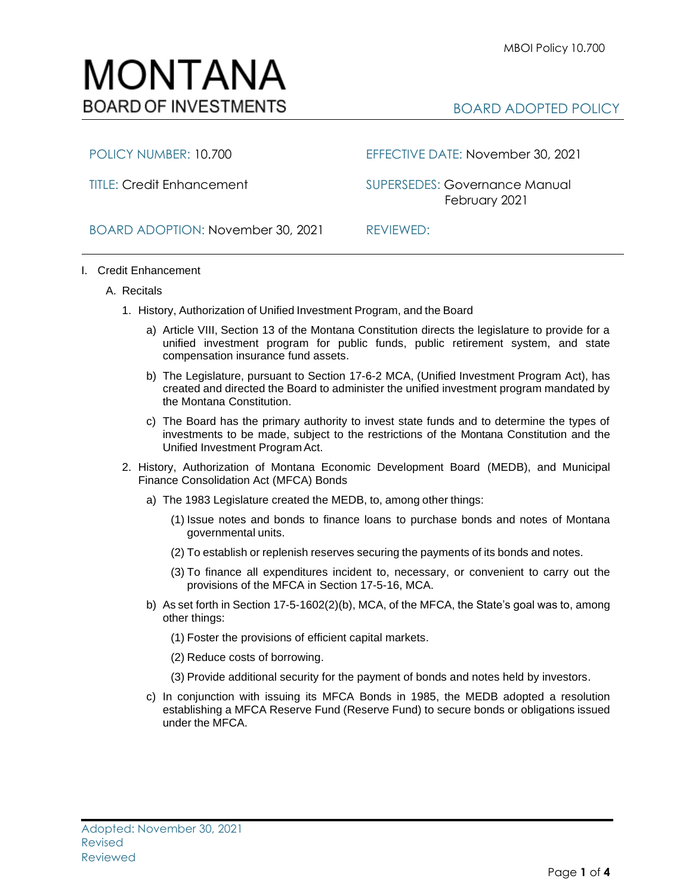## MONTANA **BOARD OF INVESTMENTS**

## BOARD ADOPTED POLICY

POLICY NUMBER: 10.700 EFFECTIVE DATE: November 30, 2021

TITLE: Credit Enhancement SUPERSEDES: Governance Manual February 2021

BOARD ADOPTION: November 30, 2021 REVIEWED:

- I. Credit Enhancement
	- A. Recitals
		- 1. History, Authorization of Unified Investment Program, and the Board
			- a) Article VIII, Section 13 of the Montana Constitution directs the legislature to provide for a unified investment program for public funds, public retirement system, and state compensation insurance fund assets.
			- b) The Legislature, pursuant to Section 17-6-2 MCA, (Unified Investment Program Act), has created and directed the Board to administer the unified investment program mandated by the Montana Constitution.
			- c) The Board has the primary authority to invest state funds and to determine the types of investments to be made, subject to the restrictions of the Montana Constitution and the Unified Investment Program Act.
		- 2. History, Authorization of Montana Economic Development Board (MEDB), and Municipal Finance Consolidation Act (MFCA) Bonds
			- a) The 1983 Legislature created the MEDB, to, among other things:
				- (1) Issue notes and bonds to finance loans to purchase bonds and notes of Montana governmental units.
				- (2) To establish or replenish reserves securing the payments of its bonds and notes.
				- (3) To finance all expenditures incident to, necessary, or convenient to carry out the provisions of the MFCA in Section 17-5-16, MCA.
			- b) As set forth in Section 17-5-1602(2)(b), MCA, of the MFCA, the State's goal was to, among other things:
				- (1) Foster the provisions of efficient capital markets.
				- (2) Reduce costs of borrowing.
				- (3) Provide additional security for the payment of bonds and notes held by investors.
			- c) In conjunction with issuing its MFCA Bonds in 1985, the MEDB adopted a resolution establishing a MFCA Reserve Fund (Reserve Fund) to secure bonds or obligations issued under the MFCA.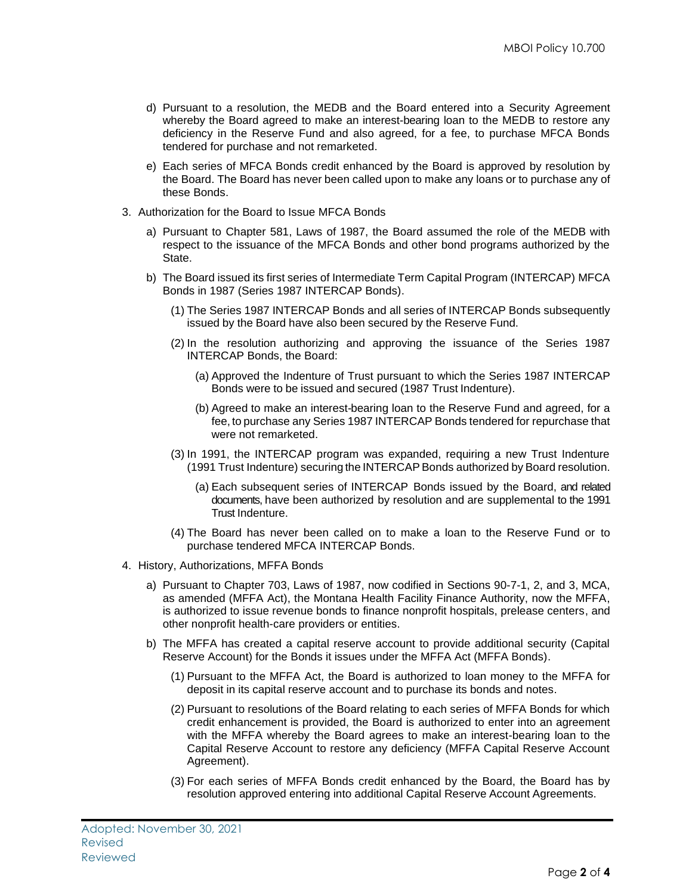- d) Pursuant to a resolution, the MEDB and the Board entered into a Security Agreement whereby the Board agreed to make an interest-bearing loan to the MEDB to restore any deficiency in the Reserve Fund and also agreed, for a fee, to purchase MFCA Bonds tendered for purchase and not remarketed.
- e) Each series of MFCA Bonds credit enhanced by the Board is approved by resolution by the Board. The Board has never been called upon to make any loans or to purchase any of these Bonds.
- 3. Authorization for the Board to Issue MFCA Bonds
	- a) Pursuant to Chapter 581, Laws of 1987, the Board assumed the role of the MEDB with respect to the issuance of the MFCA Bonds and other bond programs authorized by the State.
	- b) The Board issued its first series of Intermediate Term Capital Program (INTERCAP) MFCA Bonds in 1987 (Series 1987 INTERCAP Bonds).
		- (1) The Series 1987 INTERCAP Bonds and all series of INTERCAP Bonds subsequently issued by the Board have also been secured by the Reserve Fund.
		- (2) In the resolution authorizing and approving the issuance of the Series 1987 INTERCAP Bonds, the Board:
			- (a) Approved the Indenture of Trust pursuant to which the Series 1987 INTERCAP Bonds were to be issued and secured (1987 Trust Indenture).
			- (b) Agreed to make an interest-bearing loan to the Reserve Fund and agreed, for a fee, to purchase any Series 1987 INTERCAP Bonds tendered for repurchase that were not remarketed.
		- (3) In 1991, the INTERCAP program was expanded, requiring a new Trust Indenture (1991 Trust Indenture) securing the INTERCAP Bonds authorized by Board resolution.
			- (a) Each subsequent series of INTERCAP Bonds issued by the Board, and related documents, have been authorized by resolution and are supplemental to the 1991 Trust Indenture.
		- (4) The Board has never been called on to make a loan to the Reserve Fund or to purchase tendered MFCA INTERCAP Bonds.
- 4. History, Authorizations, MFFA Bonds
	- a) Pursuant to Chapter 703, Laws of 1987, now codified in Sections 90-7-1, 2, and 3, MCA, as amended (MFFA Act), the Montana Health Facility Finance Authority, now the MFFA, is authorized to issue revenue bonds to finance nonprofit hospitals, prelease centers, and other nonprofit health-care providers or entities.
	- b) The MFFA has created a capital reserve account to provide additional security (Capital Reserve Account) for the Bonds it issues under the MFFA Act (MFFA Bonds).
		- (1) Pursuant to the MFFA Act, the Board is authorized to loan money to the MFFA for deposit in its capital reserve account and to purchase its bonds and notes.
		- (2) Pursuant to resolutions of the Board relating to each series of MFFA Bonds for which credit enhancement is provided, the Board is authorized to enter into an agreement with the MFFA whereby the Board agrees to make an interest-bearing loan to the Capital Reserve Account to restore any deficiency (MFFA Capital Reserve Account Agreement).
		- (3) For each series of MFFA Bonds credit enhanced by the Board, the Board has by resolution approved entering into additional Capital Reserve Account Agreements.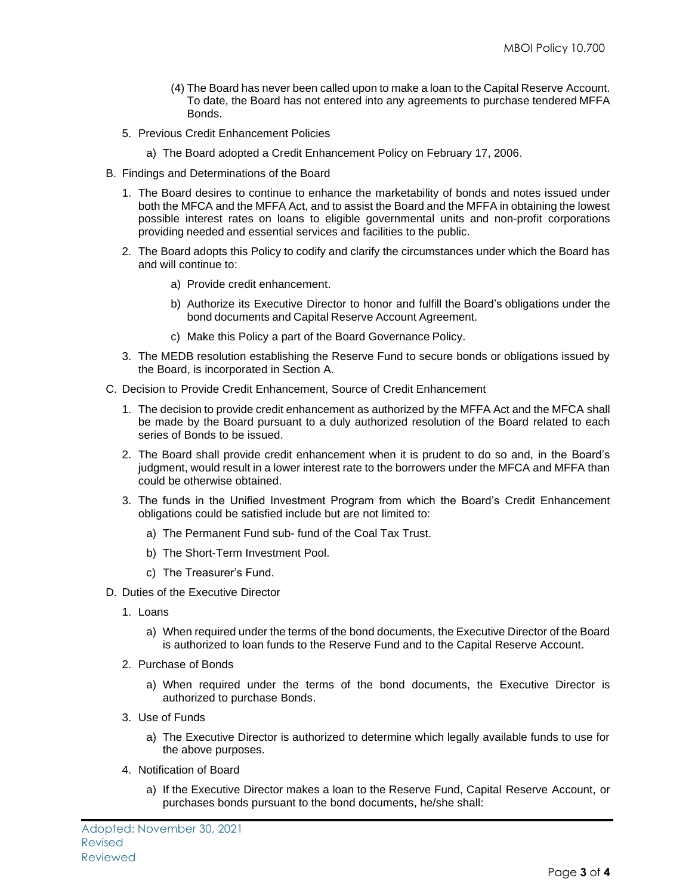- (4) The Board has never been called upon to make a loan to the Capital Reserve Account. To date, the Board has not entered into any agreements to purchase tendered MFFA Bonds.
- 5. Previous Credit Enhancement Policies
	- a) The Board adopted a Credit Enhancement Policy on February 17, 2006.
- B. Findings and Determinations of the Board
	- 1. The Board desires to continue to enhance the marketability of bonds and notes issued under both the MFCA and the MFFA Act, and to assist the Board and the MFFA in obtaining the lowest possible interest rates on loans to eligible governmental units and non-profit corporations providing needed and essential services and facilities to the public.
	- 2. The Board adopts this Policy to codify and clarify the circumstances under which the Board has and will continue to:
		- a) Provide credit enhancement.
		- b) Authorize its Executive Director to honor and fulfill the Board's obligations under the bond documents and Capital Reserve Account Agreement.
		- c) Make this Policy a part of the Board Governance Policy.
	- 3. The MEDB resolution establishing the Reserve Fund to secure bonds or obligations issued by the Board, is incorporated in Section A.
- C. Decision to Provide Credit Enhancement, Source of Credit Enhancement
	- 1. The decision to provide credit enhancement as authorized by the MFFA Act and the MFCA shall be made by the Board pursuant to a duly authorized resolution of the Board related to each series of Bonds to be issued.
	- 2. The Board shall provide credit enhancement when it is prudent to do so and, in the Board's judgment, would result in a lower interest rate to the borrowers under the MFCA and MFFA than could be otherwise obtained.
	- 3. The funds in the Unified Investment Program from which the Board's Credit Enhancement obligations could be satisfied include but are not limited to:
		- a) The Permanent Fund sub- fund of the Coal Tax Trust.
		- b) The Short-Term Investment Pool.
		- c) The Treasurer's Fund.
- D. Duties of the Executive Director
	- 1. Loans
		- a) When required under the terms of the bond documents, the Executive Director of the Board is authorized to loan funds to the Reserve Fund and to the Capital Reserve Account.
	- 2. Purchase of Bonds
		- a) When required under the terms of the bond documents, the Executive Director is authorized to purchase Bonds.
	- 3. Use of Funds
		- a) The Executive Director is authorized to determine which legally available funds to use for the above purposes.
	- 4. Notification of Board
		- a) If the Executive Director makes a loan to the Reserve Fund, Capital Reserve Account, or purchases bonds pursuant to the bond documents, he/she shall: